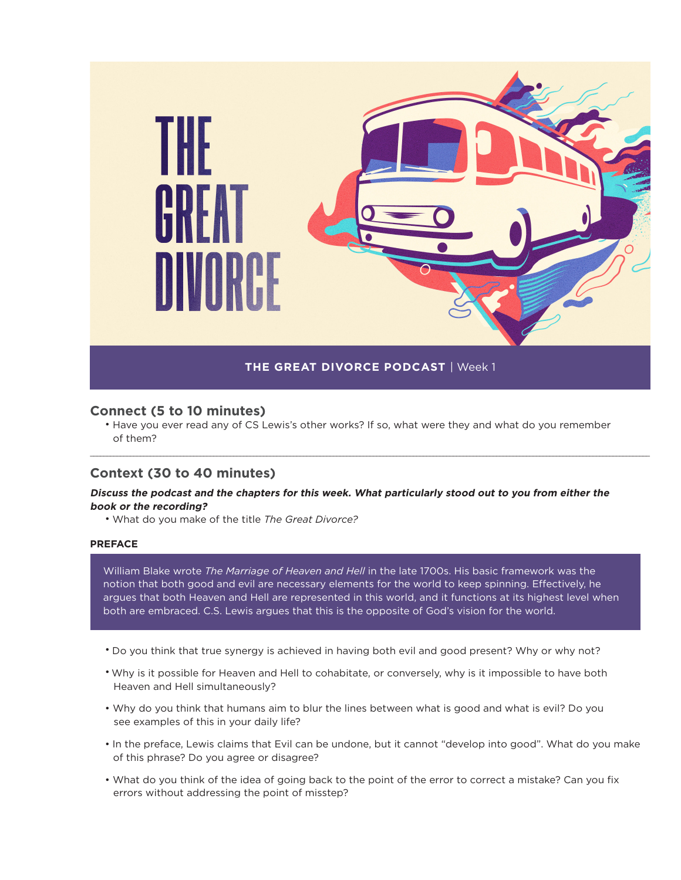

# **Connect (5 to 10 minutes)**

• Have you ever read any of CS Lewis's other works? If so, what were they and what do you remember of them?

\_\_\_\_\_\_\_\_\_\_\_\_\_\_\_\_\_\_\_\_\_\_\_\_\_\_\_\_\_\_\_\_\_\_\_\_\_\_\_\_\_\_\_\_\_\_\_\_\_\_\_\_\_\_\_\_\_\_\_\_\_\_\_\_\_\_\_\_\_\_\_\_\_\_\_\_\_\_\_\_\_\_\_\_\_\_\_\_\_\_\_\_\_\_\_\_\_\_\_\_\_\_\_\_\_\_\_\_\_\_\_\_\_\_\_\_\_\_\_\_\_\_\_\_\_\_\_\_\_\_\_\_\_\_\_\_\_\_\_\_\_\_\_\_\_\_\_\_\_\_\_\_\_\_\_\_\_\_\_\_\_\_\_\_\_\_\_\_

# **Context (30 to 40 minutes)**

# **Discuss the podcast and the chapters for this week. What particularly stood out to you from either the book or the recording?**

• What do you make of the title *The Great Divorce?* 

# **PREFACE**

William Blake wrote *The Marriage of Heaven and Hell* in the late 1700s. His basic framework was the notion that both good and evil are necessary elements for the world to keep spinning. Effectively, he argues that both Heaven and Hell are represented in this world, and it functions at its highest level when both are embraced. C.S. Lewis argues that this is the opposite of God's vision for the world.

- Do you think that true synergy is achieved in having both evil and good present? Why or why not?
- Why is it possible for Heaven and Hell to cohabitate, or conversely, why is it impossible to have both Heaven and Hell simultaneously?
- Why do you think that humans aim to blur the lines between what is good and what is evil? Do you see examples of this in your daily life?
- In the preface, Lewis claims that Evil can be undone, but it cannot "develop into good". What do you make of this phrase? Do you agree or disagree?
- What do you think of the idea of going back to the point of the error to correct a mistake? Can you fix errors without addressing the point of misstep?